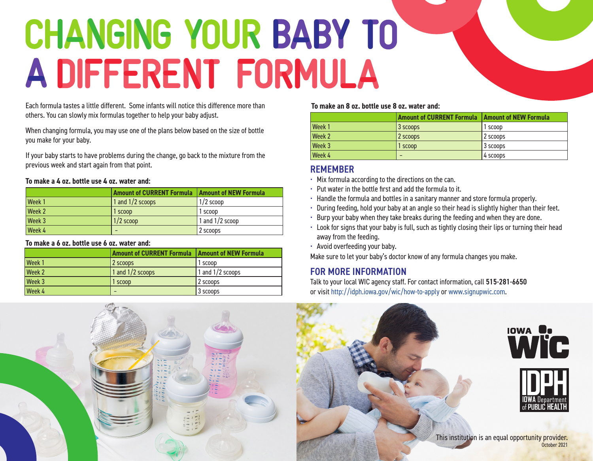# CHANGING YOUR BABY TO A DIFFERENT FORMULA

Each formula tastes a little different. Some infants will notice this difference more than others. You can slowly mix formulas together to help your baby adjust.

When changing formula, you may use one of the plans below based on the size of bottle you make for your baby.

If your baby starts to have problems during the change, go back to the mixture from the previous week and start again from that point.

### **To make a 4 oz. bottle use 4 oz. water and:**

|        | <b>Amount of CURRENT Formula</b> | <b>Amount of NEW Formula</b> |
|--------|----------------------------------|------------------------------|
| Week 1 | 1 and $1/2$ scoops               | $1/2$ scoop                  |
| Week 2 | 1 scoop                          | 1 scoop                      |
| Week 3 | $1/2$ scoop                      | 1 and $1/2$ scoop            |
| Week 4 |                                  | 2 scoops                     |

### **To make a 6 oz. bottle use 6 oz. water and:**

|               | Amount of CURRENT Formula   Amount of NEW Formula |                    |
|---------------|---------------------------------------------------|--------------------|
| <b>Week1</b>  | 2 scoops                                          | 1 scoop            |
| <b>Week 2</b> | 1 and $1/2$ scoops                                | 1 and $1/2$ scoops |
| <b>Week 3</b> | 1 scoop                                           | 2 scoops           |
| <b>Week 4</b> |                                                   | 3 scoops           |

### **To make an 8 oz. bottle use 8 oz. water and:**

|        | <b>Amount of CURRENT Formula   Amount of NEW Formula</b> |            |
|--------|----------------------------------------------------------|------------|
| Week 1 | 3 scoops                                                 | 1 scoop    |
| Week 2 | 2 scoops                                                 | 2 scoops   |
| Week 3 | 1 scoop                                                  | l 3 scoops |
| Week 4 |                                                          | 4 scoops   |

### REMEMBER

- Mix formula according to the directions on the can.
- Put water in the bottle first and add the formula to it.
- Handle the formula and bottles in a sanitary manner and store formula properly.
- During feeding, hold your baby at an angle so their head is slightly higher than their feet.
- Burp your baby when they take breaks during the feeding and when they are done.
- Look for signs that your baby is full, such as tightly closing their lips or turning their head away from the feeding.
- Avoid overfeeding your baby.

Make sure to let your baby's doctor know of any formula changes you make.

# FOR MORE INFORMATION

Talk to your local WIC agency staff. For contact information, call 515-281-6650 or visit<http://idph.iowa.gov/wic/how-to-apply> or [www.signupwic.com.](www.signupwic.com)